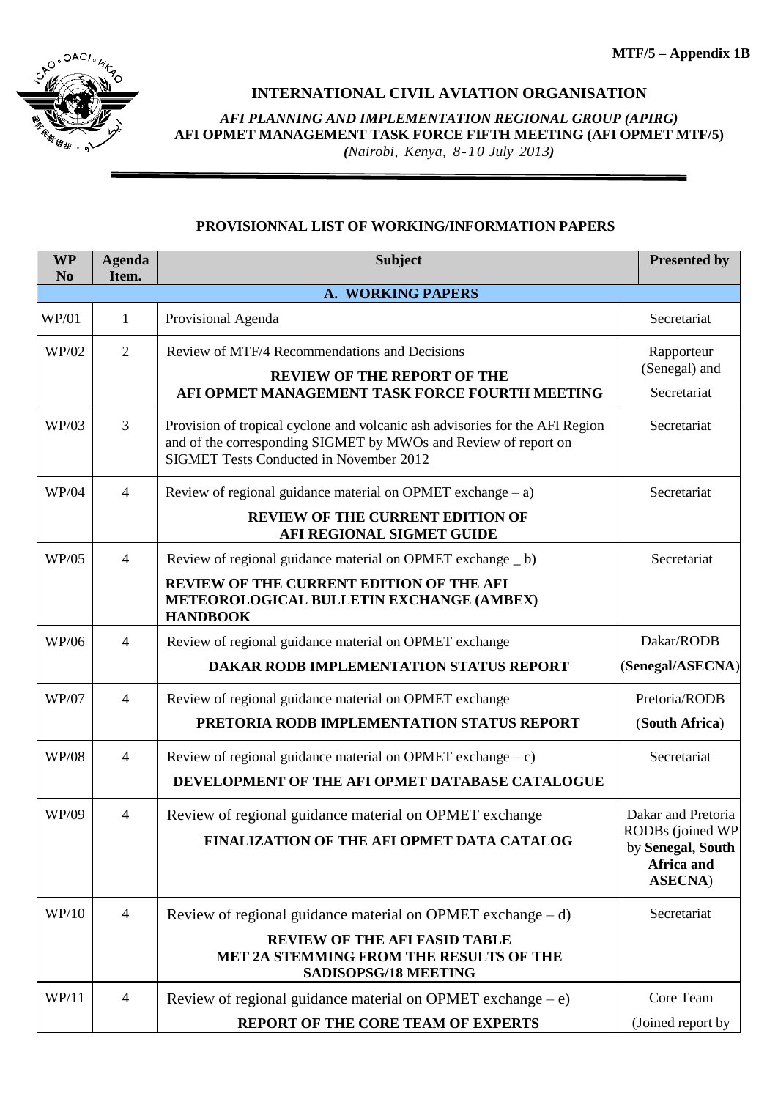

## **INTERNATIONAL CIVIL AVIATION ORGANISATION**

*AFI PLANNING AND IMPLEMENTATION REGIONAL GROUP (APIRG)* **AFI OPMET MANAGEMENT TASK FORCE FIFTH MEETING (AFI OPMET MTF/5)** *(Nairobi, Kenya, 8-10 July 2013)*

## **PROVISIONNAL LIST OF WORKING/INFORMATION PAPERS**

| <b>WP</b><br>N <sub>0</sub> | <b>Agenda</b><br>Item. | <b>Subject</b>                                                                                                                                                                                    | <b>Presented by</b>                                                                          |  |  |  |
|-----------------------------|------------------------|---------------------------------------------------------------------------------------------------------------------------------------------------------------------------------------------------|----------------------------------------------------------------------------------------------|--|--|--|
|                             | A. WORKING PAPERS      |                                                                                                                                                                                                   |                                                                                              |  |  |  |
| WP/01                       | $\mathbf{1}$           | Provisional Agenda                                                                                                                                                                                | Secretariat                                                                                  |  |  |  |
| WP/02                       | $\overline{2}$         | Review of MTF/4 Recommendations and Decisions<br><b>REVIEW OF THE REPORT OF THE</b><br>AFI OPMET MANAGEMENT TASK FORCE FOURTH MEETING                                                             | Rapporteur<br>(Senegal) and<br>Secretariat                                                   |  |  |  |
| WP/03                       | 3                      | Provision of tropical cyclone and volcanic ash advisories for the AFI Region<br>and of the corresponding SIGMET by MWOs and Review of report on<br><b>SIGMET Tests Conducted in November 2012</b> | Secretariat                                                                                  |  |  |  |
| <b>WP/04</b>                | $\overline{4}$         | Review of regional guidance material on OPMET exchange $- a$ )<br><b>REVIEW OF THE CURRENT EDITION OF</b><br>AFI REGIONAL SIGMET GUIDE                                                            | Secretariat                                                                                  |  |  |  |
| WP/05                       | $\overline{4}$         | Review of regional guidance material on OPMET exchange _ b)<br>REVIEW OF THE CURRENT EDITION OF THE AFI<br>METEOROLOGICAL BULLETIN EXCHANGE (AMBEX)<br><b>HANDBOOK</b>                            | Secretariat                                                                                  |  |  |  |
| <b>WP/06</b>                | $\overline{4}$         | Review of regional guidance material on OPMET exchange<br>DAKAR RODB IMPLEMENTATION STATUS REPORT                                                                                                 | Dakar/RODB<br>(Senegal/ASECNA)                                                               |  |  |  |
| <b>WP/07</b>                | $\overline{4}$         | Review of regional guidance material on OPMET exchange<br>PRETORIA RODB IMPLEMENTATION STATUS REPORT                                                                                              | Pretoria/RODB<br>(South Africa)                                                              |  |  |  |
| <b>WP/08</b>                | $\overline{4}$         | Review of regional guidance material on OPMET exchange $-c$ )<br>DEVELOPMENT OF THE AFI OPMET DATABASE CATALOGUE                                                                                  | Secretariat                                                                                  |  |  |  |
| WP/09                       | $\overline{4}$         | Review of regional guidance material on OPMET exchange<br>FINALIZATION OF THE AFI OPMET DATA CATALOG                                                                                              | Dakar and Pretoria<br>RODBs (joined WP<br>by Senegal, South<br>Africa and<br><b>ASECNA</b> ) |  |  |  |
| WP/10                       | $\overline{4}$         | Review of regional guidance material on OPMET exchange $- d$ )<br><b>REVIEW OF THE AFI FASID TABLE</b><br><b>MET 2A STEMMING FROM THE RESULTS OF THE</b><br>SADISOPSG/18 MEETING                  | Secretariat                                                                                  |  |  |  |
| WP/11                       | $\overline{4}$         | Review of regional guidance material on OPMET exchange $-e$ )<br>REPORT OF THE CORE TEAM OF EXPERTS                                                                                               | Core Team<br>(Joined report by                                                               |  |  |  |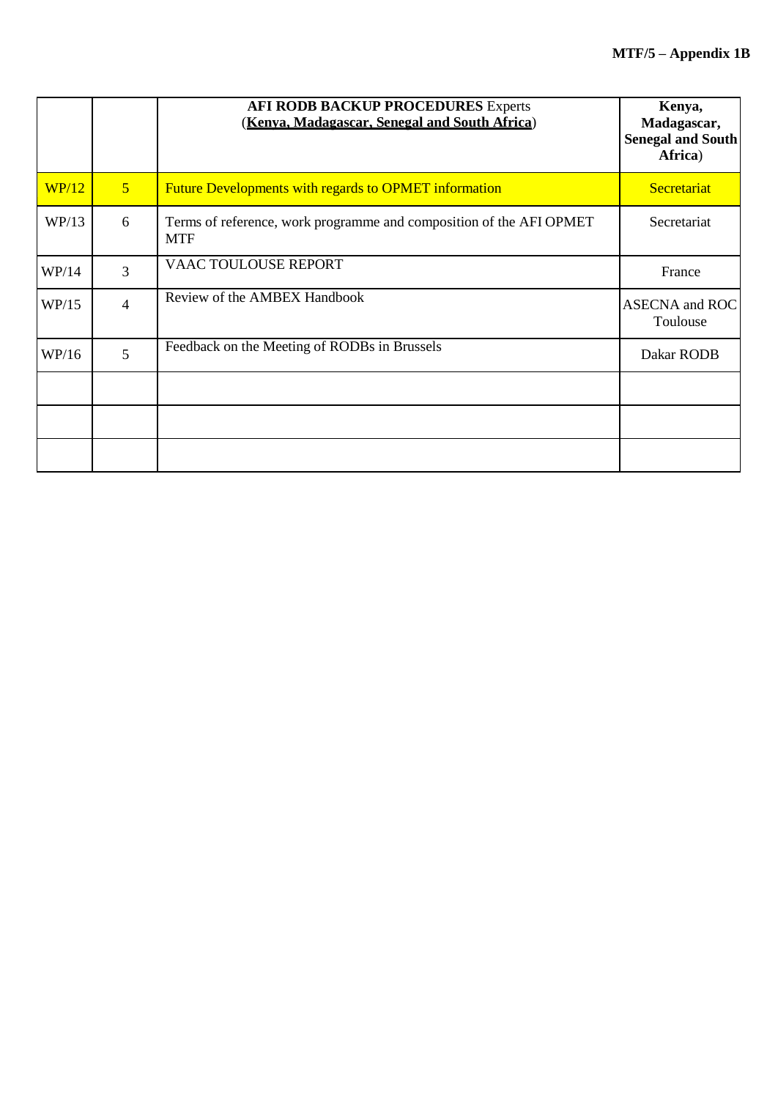|       |                | <b>AFI RODB BACKUP PROCEDURES Experts</b><br>(Kenva, Madagascar, Senegal and South Africa) | Kenya,<br>Madagascar,<br><b>Senegal and South</b><br>Africa) |
|-------|----------------|--------------------------------------------------------------------------------------------|--------------------------------------------------------------|
| WP/12 | 5 <sup>5</sup> | <b>Future Developments with regards to OPMET information</b>                               | Secretariat                                                  |
| WP/13 | 6              | Terms of reference, work programme and composition of the AFI OPMET<br><b>MTF</b>          | Secretariat                                                  |
| WP/14 | 3              | VAAC TOULOUSE REPORT                                                                       | France                                                       |
| WP/15 | $\overline{4}$ | Review of the AMBEX Handbook                                                               | <b>ASECNA</b> and ROC<br>Toulouse                            |
| WP/16 | 5              | Feedback on the Meeting of RODBs in Brussels                                               | Dakar RODB                                                   |
|       |                |                                                                                            |                                                              |
|       |                |                                                                                            |                                                              |
|       |                |                                                                                            |                                                              |